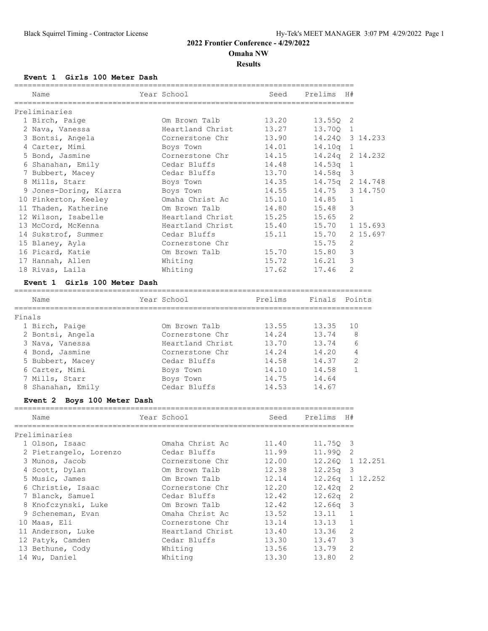**Omaha NW**

**Results**

## **Event 1 Girls 100 Meter Dash**

|        | Name                         | Year School      | Seed    | Prelims | H#             |              |
|--------|------------------------------|------------------|---------|---------|----------------|--------------|
|        | Preliminaries                |                  |         |         |                |              |
|        | 1 Birch, Paige               | Om Brown Talb    | 13.20   | 13.550  | 2              |              |
|        | 2 Nava, Vanessa              | Heartland Christ | 13.27   | 13.700  | $\mathbf{1}$   |              |
|        | 3 Bontsi, Angela             | Cornerstone Chr  | 13.90   | 14.240  |                | 3 14.233     |
|        | 4 Carter, Mimi               | Boys Town        | 14.01   | 14.10q  | $\mathbf{1}$   |              |
|        | 5 Bond, Jasmine              | Cornerstone Chr  | 14.15   | 14.24q  |                | 2 14.232     |
|        | 6 Shanahan, Emily            | Cedar Bluffs     | 14.48   | 14.53q  | $\mathbf{1}$   |              |
|        | 7 Bubbert, Macey             | Cedar Bluffs     | 13.70   | 14.58q  | 3              |              |
|        | 8 Mills, Starr               | Boys Town        | 14.35   | 14.75q  |                | 2 14.748     |
|        | 9 Jones-Doring, Kiarra       | Boys Town        | 14.55   | 14.75   |                | 3 14.750     |
|        | 10 Pinkerton, Keeley         | Omaha Christ Ac  | 15.10   | 14.85   | $\mathbf{1}$   |              |
|        | 11 Thaden, Katherine         | Om Brown Talb    | 14.80   | 15.48   | 3              |              |
|        | 12 Wilson, Isabelle          | Heartland Christ | 15.25   | 15.65   | $\overline{2}$ |              |
|        | 13 McCord, McKenna           | Heartland Christ | 15.40   | 15.70   |                | 1 15.693     |
|        | 14 Sukstrof, Summer          | Cedar Bluffs     | 15.11   | 15.70   |                | 2 15.697     |
|        | 15 Blaney, Ayla              | Cornerstone Chr  |         | 15.75   | 2              |              |
|        | 16 Picard, Katie             | Om Brown Talb    | 15.70   | 15.80   | 3              |              |
|        | 17 Hannah, Allen             | Whiting          | 15.72   | 16.21   | 3              |              |
|        | 18 Rivas, Laila              | Whiting          | 17.62   | 17.46   | 2              |              |
|        | Event 1 Girls 100 Meter Dash |                  |         |         |                |              |
|        |                              |                  |         |         |                |              |
|        | Name                         | Year School      | Prelims | Finals  |                | Points       |
| Finals |                              |                  |         |         |                |              |
|        | 1 Birch, Paige               | Om Brown Talb    | 13.55   | 13.35   | 10             |              |
|        | 2 Bontsi, Angela             | Cornerstone Chr  | 14.24   | 13.74   |                | 8            |
|        | 3 Nava, Vanessa              | Heartland Christ | 13.70   | 13.74   |                | 6            |
|        | 4 Bond, Jasmine              | Cornerstone Chr  | 14.24   | 14.20   |                | 4            |
|        | 5 Bubbert, Macey             | Cedar Bluffs     | 14.58   | 14.37   |                | 2            |
|        | 6 Carter, Mimi               | Boys Town        | 14.10   | 14.58   |                | $\mathbf{1}$ |
|        | 7 Mills, Starr               | Boys Town        | 14.75   | 14.64   |                |              |
|        | 8 Shanahan, Emily            | Cedar Bluffs     | 14.53   | 14.67   |                |              |
|        | Event 2 Boys 100 Meter Dash  |                  |         |         |                |              |
|        | Name                         | Year School      | Seed    | Prelims | H#             |              |
|        | Preliminaries                |                  |         |         |                |              |
|        | 1 Olson, Isaac               | Omaha Christ Ac  | 11.40   | 11.75Q  | 3              |              |
|        | 2 Pietrangelo, Lorenzo       | Cedar Bluffs     | 11.99   | 11.99Q  | $\mathbf{2}$   |              |
|        | 3 Munos, Jacob               | Cornerstone Chr  | 12.00   | 12.26Q  |                | 1 12.251     |
|        | 4 Scott, Dylan               | Om Brown Talb    | 12.38   | 12.25q  | 3              |              |
|        | 5 Music, James               | Om Brown Talb    | 12.14   | 12.26q  |                | 1 12.252     |
|        | 6 Christie, Isaac            | Cornerstone Chr  | 12.20   | 12.42q  | $\mathbf{2}$   |              |
|        | 7 Blanck, Samuel             | Cedar Bluffs     | 12.42   | 12.62q  | $\sqrt{2}$     |              |
|        | 8 Knofczynski, Luke          | Om Brown Talb    | 12.42   | 12.66q  | 3              |              |
|        | 9 Scheneman, Evan            | Omaha Christ Ac  | 13.52   | 13.11   | $\mathbf 1$    |              |
|        | 10 Maas, Eli                 | Cornerstone Chr  | 13.14   | 13.13   | $\mathbf{1}$   |              |
|        | 11 Anderson, Luke            | Heartland Christ | 13.40   | 13.36   | $\sqrt{2}$     |              |
|        | 12 Patyk, Camden             | Cedar Bluffs     | 13.30   | 13.47   | 3              |              |
|        | 13 Bethune, Cody             | Whiting          | 13.56   | 13.79   | $\mathbf{2}$   |              |
|        | 14 Wu, Daniel                | Whiting          | 13.30   | 13.80   | $\mathbf{2}$   |              |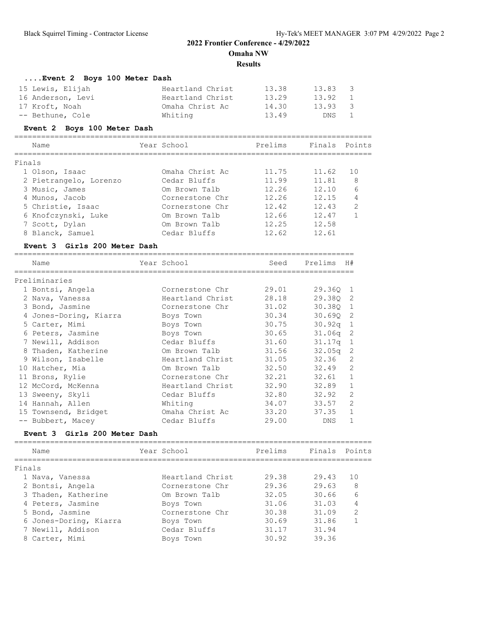**Results**

| Event 2 Boys 100 Meter Dash |  |  |
|-----------------------------|--|--|

| 15 Lewis, Elijah  | Heartland Christ | 13.38 | 13.83 | - 3           |
|-------------------|------------------|-------|-------|---------------|
| 16 Anderson, Levi | Heartland Christ | 13.29 | 13.92 | $\sim$ 1      |
| 17 Kroft, Noah    | Omaha Christ Ac  | 14.30 | 13.93 | $\mathcal{S}$ |
| -- Bethune, Cole  | Whiting          | 13.49 | DNS 1 |               |

### **Event 2 Boys 100 Meter Dash**

| Name                   | Year School     | Prelims | Finals Points |                |
|------------------------|-----------------|---------|---------------|----------------|
| Finals                 |                 |         |               |                |
| 1 Olson, Isaac         | Omaha Christ Ac | 11.75   | 11.62         | 1 O            |
| 2 Pietrangelo, Lorenzo | Cedar Bluffs    | 11.99   | 11.81         | 8              |
| 3 Music, James         | Om Brown Talb   | 12.26   | 12.10         | 6              |
| 4 Munos, Jacob         | Cornerstone Chr | 12.26   | 12.15         | 4              |
| 5 Christie, Isaac      | Cornerstone Chr | 12.42   | 12.43         | $\mathfrak{D}$ |
| 6 Knofczynski, Luke    | Om Brown Talb   | 12.66   | 12.47         |                |
| 7 Scott, Dylan         | Om Brown Talb   | 12.25   | 12.58         |                |
| 8 Blanck, Samuel       | Cedar Bluffs    | 12.62   | 12.61         |                |
|                        |                 |         |               |                |

#### **Event 3 Girls 200 Meter Dash**

| Name                   | Year School      | Seed  | Prelims            | H#             |
|------------------------|------------------|-------|--------------------|----------------|
| Preliminaries          |                  |       |                    |                |
| 1 Bontsi, Angela       | Cornerstone Chr  | 29.01 | 29.360 1           |                |
| 2 Nava, Vanessa        | Heartland Christ | 28.18 | 29.380 2           |                |
| 3 Bond, Jasmine        | Cornerstone Chr  | 31.02 | 30.380             | $\overline{1}$ |
| 4 Jones-Doring, Kiarra | Boys Town        | 30.34 | 30.690 2           |                |
| 5 Carter, Mimi         | Boys Town        | 30.75 | 30.92q             | 1              |
| 6 Peters, Jasmine      | Boys Town        | 30.65 | 31.06 <sub>q</sub> | -2             |
| 7 Newill, Addison      | Cedar Bluffs     | 31.60 | 31.17 <sub>q</sub> | 1              |
| 8 Thaden, Katherine    | Om Brown Talb    | 31.56 | 32.05q             | -2             |
| 9 Wilson, Isabelle     | Heartland Christ | 31.05 | 32.36              | $\mathcal{L}$  |
| 10 Hatcher, Mia        | Om Brown Talb    | 32.50 | 32.49              | 2              |
| 11 Brons, Rylie        | Cornerstone Chr  | 32.21 | 32.61              | 1              |
| 12 McCord, McKenna     | Heartland Christ | 32.90 | 32.89              | $\mathbf{1}$   |
| 13 Sweeny, Skyli       | Cedar Bluffs     | 32.80 | 32.92              | $\mathfrak{D}$ |
| 14 Hannah, Allen       | Whiting          | 34.07 | 33.57              | $\overline{2}$ |
| 15 Townsend, Bridget   | Omaha Christ Ac  | 33.20 | 37.35              | 1              |
| -- Bubbert, Macey      | Cedar Bluffs     | 29.00 | DNS                |                |
|                        |                  |       |                    |                |

## **Event 3 Girls 200 Meter Dash**

| Name                   | Year School      | Prelims | Finals Points |                |
|------------------------|------------------|---------|---------------|----------------|
| Finals                 |                  |         |               |                |
| 1 Nava, Vanessa        | Heartland Christ | 29.38   | 29.43         | 10             |
| 2 Bontsi, Angela       | Cornerstone Chr  | 29.36   | 29.63         | 8              |
| 3 Thaden, Katherine    | Om Brown Talb    | 32.05   | 30.66         | 6              |
| 4 Peters, Jasmine      | Boys Town        | 31.06   | 31.03         | 4              |
| 5 Bond, Jasmine        | Cornerstone Chr  | 30.38   | 31.09         | $\mathfrak{D}$ |
| 6 Jones-Doring, Kiarra | Boys Town        | 30.69   | 31.86         |                |
| 7 Newill, Addison      | Cedar Bluffs     | 31.17   | 31.94         |                |
| 8 Carter, Mimi         | Boys Town        | 30.92   | 39.36         |                |
|                        |                  |         |               |                |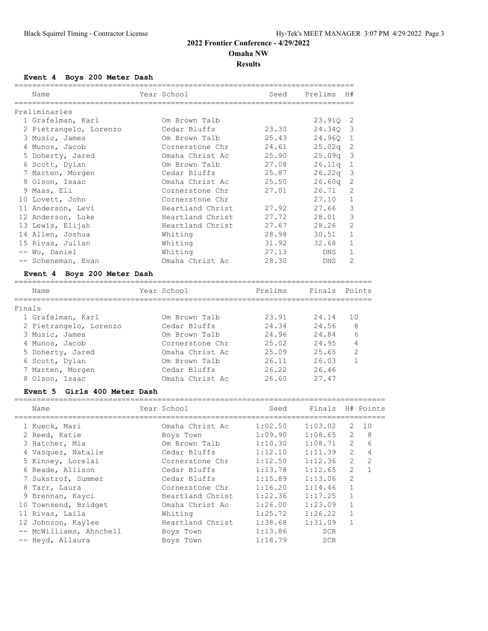**Results**

### **Event 4 Boys 200 Meter Dash**

| Name<br>,,,,,,,,,,,,,,,,,,,,,,,,,,,,,,,,                                                                                                                                                                                                                                                                                                                                                                | Year School      |       | Seed Prelims | H#             |
|---------------------------------------------------------------------------------------------------------------------------------------------------------------------------------------------------------------------------------------------------------------------------------------------------------------------------------------------------------------------------------------------------------|------------------|-------|--------------|----------------|
| Preliminaries                                                                                                                                                                                                                                                                                                                                                                                           |                  |       |              |                |
| 1 Grafelman, Karl                                                                                                                                                                                                                                                                                                                                                                                       | Om Brown Talb    |       | 23.910 2     |                |
| 2 Pietrangelo, Lorenzo                                                                                                                                                                                                                                                                                                                                                                                  | Cedar Bluffs     | 23.30 | 24.340 3     |                |
| 3 Music, James                                                                                                                                                                                                                                                                                                                                                                                          | Om Brown Talb    | 25.43 | 24.960 1     |                |
| 4 Munos, Jacob                                                                                                                                                                                                                                                                                                                                                                                          | Cornerstone Chr  | 24.61 | $25.02q$ 2   |                |
| 5 Doherty, Jared                                                                                                                                                                                                                                                                                                                                                                                        | Omaha Christ Ac  | 25.90 | $25.09q$ 3   |                |
| 6 Scott, Dylan                                                                                                                                                                                                                                                                                                                                                                                          | Om Brown Talb    | 27.08 | $26.11q$ 1   |                |
| 7 Marten, Morgen                                                                                                                                                                                                                                                                                                                                                                                        | Cedar Bluffs     | 25.87 | $26.22q$ 3   |                |
| 8 Olson, Isaac                                                                                                                                                                                                                                                                                                                                                                                          | Omaha Christ Ac  | 25.50 | $26.60q$ 2   |                |
| 9 Maas, Eli                                                                                                                                                                                                                                                                                                                                                                                             | Cornerstone Chr  | 27.01 | 26.71        | $\mathcal{L}$  |
| 10 Lovett, John                                                                                                                                                                                                                                                                                                                                                                                         | Cornerstone Chr  |       | $27.10 \t1$  |                |
| 11 Anderson, Levi                                                                                                                                                                                                                                                                                                                                                                                       | Heartland Christ | 27.92 | 27.66        | 3              |
| 12 Anderson, Luke                                                                                                                                                                                                                                                                                                                                                                                       | Heartland Christ | 27.72 | 28.01        | 3              |
| 13 Lewis, Elijah                                                                                                                                                                                                                                                                                                                                                                                        | Heartland Christ | 27.67 | 28.26        | 2              |
| 14 Allen, Joshua                                                                                                                                                                                                                                                                                                                                                                                        | Whiting          | 28.98 | 30.51        | 1              |
| 15 Rivas, Julian                                                                                                                                                                                                                                                                                                                                                                                        | Whiting          | 31.92 | 32.68        | $\mathbf{1}$   |
| -- Wu, Daniel                                                                                                                                                                                                                                                                                                                                                                                           | Whiting          | 27.13 | DNS          | $\mathbf{1}$   |
| -- Scheneman, Evan<br>$\overline{a}$ . $\overline{a}$ $\overline{a}$ $\overline{a}$ $\overline{a}$ $\overline{a}$ $\overline{a}$ $\overline{a}$ $\overline{a}$ $\overline{a}$ $\overline{a}$ $\overline{a}$ $\overline{a}$ $\overline{a}$ $\overline{a}$ $\overline{a}$ $\overline{a}$ $\overline{a}$ $\overline{a}$ $\overline{a}$ $\overline{a}$ $\overline{a}$ $\overline{a}$ $\overline{a}$ $\over$ | Omaha Christ Ac  | 28.30 | DNS          | $\overline{2}$ |

#### **Event 4 Boys 200 Meter Dash**

| Name                   | Year School     | Prelims | Finals Points |                |
|------------------------|-----------------|---------|---------------|----------------|
| Finals                 |                 |         |               |                |
| 1 Grafelman, Karl      | Om Brown Talb   | 23.91   | 24.14         | 10             |
| 2 Pietrangelo, Lorenzo | Cedar Bluffs    | 24.34   | 24.56         | 8              |
| 3 Music, James         | Om Brown Talb   | 24.96   | 24.84         | 6              |
| 4 Munos, Jacob         | Cornerstone Chr | 25.02   | 24.95         | 4              |
| 5 Doherty, Jared       | Omaha Christ Ac | 25.09   | 25.65         | $\overline{2}$ |
| 6 Scott, Dylan         | Om Brown Talb   | 26.11   | 26.03         |                |
| 7 Marten, Morgen       | Cedar Bluffs    | 26.22   | 26.46         |                |
| 8 Olson, Isaac         | Omaha Christ Ac | 26.60   | 27.47         |                |
|                        |                 |         |               |                |

#### **Event 5 Girls 400 Meter Dash**

| Name                    | Year School      | Seed    | Finals H# Points |                |                |
|-------------------------|------------------|---------|------------------|----------------|----------------|
| 1 Kueck, Mari           | Omaha Christ Ac  | 1:02.50 | 1:03.02          | 2              | 10             |
| 2 Reed, Katie           | Boys Town        | 1:09.90 | 1:08.65          | 2              | 8              |
| 3 Hatcher, Mia          | Om Brown Talb    | 1:10.30 | 1:08.71          | $\overline{2}$ | 6              |
| 4 Vasquez, Natalie      | Cedar Bluffs     | 1:12.10 | 1:11.39          | $\mathcal{L}$  | $\overline{4}$ |
| 5 Kinney, Lorelai       | Cornerstone Chr  | 1:12.50 | 1:12.36          | $\overline{2}$ | 2              |
| 6 Reade, Allison        | Cedar Bluffs     | 1:13.78 | 1:12.65          | 2              | $\mathbf{1}$   |
| 7 Sukstrof, Summer      | Cedar Bluffs     | 1:15.89 | 1:13.06          | 2              |                |
| 8 Tarr, Laura           | Cornerstone Chr  | 1:16.20 | 1:14.46          | $\mathbf{1}$   |                |
| 9 Brennan, Kayci        | Heartland Christ | 1:22.36 | 1:17.25          | $\mathbf{1}$   |                |
| 10 Townsend, Bridget    | Omaha Christ Ac  | 1:26.00 | 1:23.09          | $\mathbf{1}$   |                |
| 11 Rivas, Laila         | Whiting          | 1:25.72 | 1:26.22          |                |                |
| 12 Johnson, Kaylee      | Heartland Christ | 1:38.68 | 1:31.09          | $\mathbf{1}$   |                |
| -- McWilliams, Ahnchell | Boys Town        | 1:13.86 | <b>SCR</b>       |                |                |
| -- Heyd, Allaura        | Boys Town        | 1:18.79 | <b>SCR</b>       |                |                |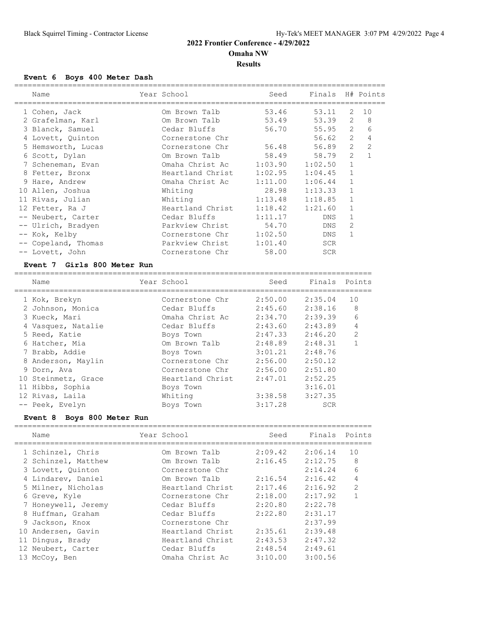## **Event 6 Boys 400 Meter Dash**

| Name                | Year School              | Seed    | Finals H# Points |                |                |
|---------------------|--------------------------|---------|------------------|----------------|----------------|
| 1 Cohen, Jack       | Om Brown Talb            | 53.46   | 53.11            | 2              | 10             |
| 2 Grafelman, Karl   | Om Brown Talb            | 53.49   | 53.39            | 2              | 8              |
| 3 Blanck, Samuel    | Cedar Bluffs             | 56.70   | 55.95            | $\overline{2}$ | 6              |
| 4 Lovett, Quinton   | Cornerstone Chr          |         | 56.62            | $\overline{2}$ | 4              |
| 5 Hemsworth, Lucas  | Cornerstone Chr          | 56.48   | 56.89            | $\overline{2}$ | $\overline{c}$ |
| 6 Scott, Dylan      | Om Brown Talb            | 58.49   | 58.79            | $\overline{2}$ | $\mathbf{1}$   |
| 7 Scheneman, Evan   | Omaha Christ Ac 1:03.90  |         | 1:02.50          | $\mathbf{1}$   |                |
| 8 Fetter, Bronx     | Heartland Christ 1:02.95 |         | 1:04.45          | $\mathbf{1}$   |                |
| 9 Hare, Andrew      | Omaha Christ Ac 1:11.00  |         | 1:06.44          | $\mathbf{1}$   |                |
| 10 Allen, Joshua    | Whiting                  | 28.98   | 1:13.33          | $\mathbf{1}$   |                |
| 11 Rivas, Julian    | Whiting                  | 1:13.48 | 1:18.85          | 1              |                |
| 12 Fetter, Ra J     | Heartland Christ         | 1:18.42 | 1:21.60          | 1              |                |
| -- Neubert, Carter  | Cedar Bluffs             | 1:11.17 | <b>DNS</b>       |                |                |
| -- Ulrich, Bradyen  | Parkview Christ 54.70    |         | <b>DNS</b>       | 2              |                |
| -- Kok, Kelby       | Cornerstone Chr          | 1:02.50 | DNS              | 1              |                |
| -- Copeland, Thomas | Parkview Christ          | 1:01.40 | <b>SCR</b>       |                |                |
| -- Lovett, John     | Cornerstone Chr          | 58.00   | <b>SCR</b>       |                |                |
|                     |                          |         |                  |                |                |

## **Event 7 Girls 800 Meter Run**

| Name                | Year School      | Seed    | Finals Points |                |
|---------------------|------------------|---------|---------------|----------------|
| 1 Kok, Brekyn       | Cornerstone Chr  | 2:50.00 | 2:35.04       | 10             |
| 2 Johnson, Monica   | Cedar Bluffs     | 2:45.60 | 2:38.16       | 8              |
| 3 Kueck, Mari       | Omaha Christ Ac  | 2:34.70 | 2:39.39       | 6              |
| 4 Vasquez, Natalie  | Cedar Bluffs     | 2:43.60 | 2:43.89       | 4              |
| 5 Reed, Katie       | Boys Town        | 2:47.33 | 2:46.20       | $\overline{2}$ |
| 6 Hatcher, Mia      | Om Brown Talb    | 2:48.89 | 2:48.31       |                |
| 7 Brabb, Addie      | Boys Town        | 3:01.21 | 2:48.76       |                |
| 8 Anderson, Maylin  | Cornerstone Chr  | 2:56.00 | 2:50.12       |                |
| 9 Dorn, Ava         | Cornerstone Chr  | 2:56.00 | 2:51.80       |                |
| 10 Steinmetz, Grace | Heartland Christ | 2:47.01 | 2:52.25       |                |
| 11 Hibbs, Sophia    | Boys Town        |         | 3:16.01       |                |
| 12 Rivas, Laila     | Whiting          | 3:38.58 | 3:27.35       |                |
| -- Peek, Evelyn     | Boys Town        | 3:17.28 | <b>SCR</b>    |                |

### **Event 8 Boys 800 Meter Run**

| Name                | Year School      | Seed    | Finals Points |               |
|---------------------|------------------|---------|---------------|---------------|
| 1 Schinzel, Chris   | Om Brown Talb    | 2:09.42 | 2:06.14       | 10            |
| 2 Schinzel, Matthew | Om Brown Talb    | 2:16.45 | 2:12.75       | 8             |
| 3 Lovett, Ouinton   | Cornerstone Chr  |         | 2:14.24       | 6             |
| 4 Lindarev, Daniel  | Om Brown Talb    | 2:16.54 | 2:16.42       | 4             |
| 5 Milner, Nicholas  | Heartland Christ | 2:17.46 | 2:16.92       | $\mathcal{P}$ |
| 6 Greve, Kyle       | Cornerstone Chr  | 2:18.00 | 2:17.92       | 1             |
| 7 Honeywell, Jeremy | Cedar Bluffs     | 2:20.80 | 2:22.78       |               |
| 8 Huffman, Graham   | Cedar Bluffs     | 2:22.80 | 2:31.17       |               |
| 9 Jackson, Knox     | Cornerstone Chr  |         | 2:37.99       |               |
| 10 Andersen, Gavin  | Heartland Christ | 2:35.61 | 2:39.48       |               |
| 11 Dingus, Brady    | Heartland Christ | 2:43.53 | 2:47.32       |               |
| 12 Neubert, Carter  | Cedar Bluffs     | 2:48.54 | 2:49.61       |               |
| 13 McCov, Ben       | Omaha Christ Ac  | 3:10.00 | 3:00.56       |               |
|                     |                  |         |               |               |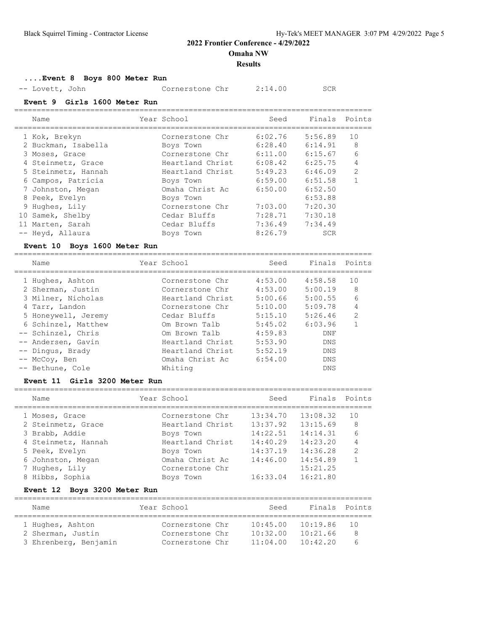**Omaha NW**

#### **Results**

**....Event 8 Boys 800 Meter Run**

| -- Lovett, John | Cornerstone Chr | 2:14.00 | SCR |
|-----------------|-----------------|---------|-----|
|-----------------|-----------------|---------|-----|

**Event 9 Girls 1600 Meter Run**

| Name                | Year School      | Seed    | Finals Points |                |
|---------------------|------------------|---------|---------------|----------------|
| 1 Kok, Brekyn       | Cornerstone Chr  | 6:02.76 | 5:56.89       | 10             |
| 2 Buckman, Isabella | Boys Town        | 6:28.40 | 6:14.91       | 8              |
| 3 Moses, Grace      | Cornerstone Chr  | 6:11.00 | 6:15.67       | 6              |
| 4 Steinmetz, Grace  | Heartland Christ | 6:08.42 | 6:25.75       | 4              |
| 5 Steinmetz, Hannah | Heartland Christ | 5:49.23 | 6:46.09       | $\overline{2}$ |
| 6 Campos, Patricia  | Boys Town        | 6:59.00 | 6:51.58       |                |
| 7 Johnston, Megan   | Omaha Christ Ac  | 6:50.00 | 6:52.50       |                |
| 8 Peek, Evelyn      | Boys Town        |         | 6:53.88       |                |
| 9 Hughes, Lily      | Cornerstone Chr  | 7:03.00 | 7:20.30       |                |
| 10 Samek, Shelby    | Cedar Bluffs     | 7:28.71 | 7:30.18       |                |
| 11 Marten, Sarah    | Cedar Bluffs     | 7:36.49 | 7:34.49       |                |
| -- Heyd, Allaura    | Boys Town        | 8:26.79 | SCR           |                |

### **Event 10 Boys 1600 Meter Run**

| Name                | Year School      | Seed    | Finals     | Points        |
|---------------------|------------------|---------|------------|---------------|
| 1 Hughes, Ashton    | Cornerstone Chr  | 4:53.00 | 4:58.58    | 1 O           |
| 2 Sherman, Justin   | Cornerstone Chr  | 4:53.00 | 5:00.19    | 8             |
| 3 Milner, Nicholas  | Heartland Christ | 5:00.66 | 5:00.55    | 6             |
| 4 Tarr, Landon      | Cornerstone Chr  | 5:10.00 | 5:09.78    | 4             |
| 5 Honeywell, Jeremy | Cedar Bluffs     | 5:15.10 | 5:26.46    | $\mathcal{P}$ |
| 6 Schinzel, Matthew | Om Brown Talb    | 5:45.02 | 6:03.96    |               |
| -- Schinzel, Chris  | Om Brown Talb    | 4:59.83 | <b>DNF</b> |               |
| -- Andersen, Gavin  | Heartland Christ | 5:53.90 | <b>DNS</b> |               |
| -- Dingus, Brady    | Heartland Christ | 5:52.19 | <b>DNS</b> |               |
| -- McCov, Ben       | Omaha Christ Ac  | 6:54.00 | <b>DNS</b> |               |
| -- Bethune, Cole    | Whiting          |         | <b>DNS</b> |               |

#### **Event 11 Girls 3200 Meter Run**

| Name                | Year School      | Seed     | Finals Points |                |
|---------------------|------------------|----------|---------------|----------------|
| 1 Moses, Grace      | Cornerstone Chr  | 13:34.70 | 13:08.32      | 10             |
| 2 Steinmetz, Grace  | Heartland Christ | 13:37.92 | 13:15.69      | 8              |
| 3 Brabb, Addie      | Boys Town        | 14:22.51 | 14:14.31      | 6              |
| 4 Steinmetz, Hannah | Heartland Christ | 14:40.29 | 14:23.20      | 4              |
| 5 Peek, Evelyn      | Boys Town        | 14:37.19 | 14:36.28      | $\overline{2}$ |
| 6 Johnston, Megan   | Omaha Christ Ac  | 14:46.00 | 14:54.89      | 1              |
| 7 Hughes, Lily      | Cornerstone Chr  |          | 15:21.25      |                |
| 8 Hibbs, Sophia     | Boys Town        | 16:33.04 | 16:21.80      |                |
|                     |                  |          |               |                |

#### **Event 12 Boys 3200 Meter Run**

| Name                  | Year School     | Seed     | Finals Points |            |
|-----------------------|-----------------|----------|---------------|------------|
| 1 Hughes, Ashton      | Cornerstone Chr | 10:45.00 | 10:19.86      |            |
| 2 Sherman, Justin     | Cornerstone Chr | 10:32.00 | 10:21.66      | -8         |
| 3 Ehrenberg, Benjamin | Cornerstone Chr | 11:04.00 | 10:42.20      | $\epsilon$ |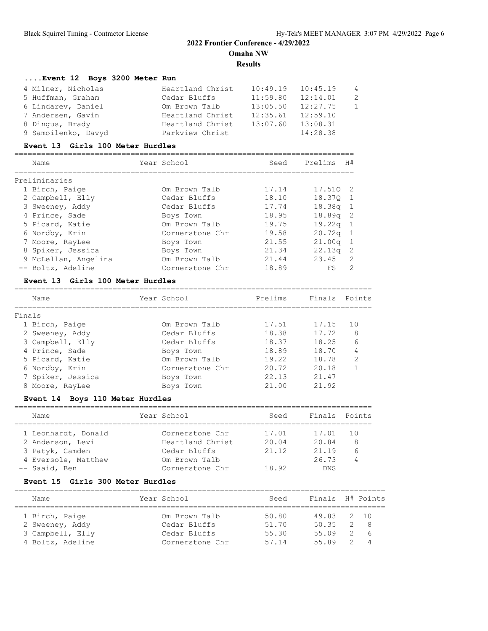### **Results**

## **....Event 12 Boys 3200 Meter Run**

| 4 Milner, Nicholas  | Heartland Christ | 10:49.19 | 10:45.19 | $\overline{4}$ |
|---------------------|------------------|----------|----------|----------------|
| 5 Huffman, Graham   | Cedar Bluffs     | 11:59.80 | 12:14.01 | -2             |
| 6 Lindarev, Daniel  | Om Brown Talb    | 13:05.50 | 12:27.75 | $\overline{1}$ |
| 7 Andersen, Gavin   | Heartland Christ | 12:35.61 | 12:59.10 |                |
| 8 Dingus, Brady     | Heartland Christ | 13:07.60 | 13:08.31 |                |
| 9 Samoilenko, Davyd | Parkview Christ  |          | 14:28.38 |                |

#### **Event 13 Girls 100 Meter Hurdles**

| Name                 | Year School     | Seed  | Prelims            | H#            |
|----------------------|-----------------|-------|--------------------|---------------|
| Preliminaries        |                 |       |                    |               |
| 1 Birch, Paige       | Om Brown Talb   | 17.14 | 17.510 2           |               |
| 2 Campbell, Elly     | Cedar Bluffs    | 18.10 | 18.370             |               |
| 3 Sweeney, Addy      | Cedar Bluffs    | 17.74 | 18.38a             | -1            |
| 4 Prince, Sade       | Boys Town       | 18.95 | 18.89a             | -2            |
| 5 Picard, Katie      | Om Brown Talb   | 19.75 | 19.22q             |               |
| 6 Nordby, Erin       | Cornerstone Chr | 19.58 | 20.72q             |               |
| 7 Moore, RayLee      | Boys Town       | 21.55 | 21.00 <sub>a</sub> | -1            |
| 8 Spiker, Jessica    | Boys Town       | 21.34 | 22.13q             | -2            |
| 9 McLellan, Angelina | Om Brown Talb   | 21.44 | 23.45              | 2             |
| -- Boltz, Adeline    | Cornerstone Chr | 18.89 | FS                 | $\mathcal{P}$ |

### **Event 13 Girls 100 Meter Hurdles**

| Name              | Year School     | Prelims | Finals Points |                |
|-------------------|-----------------|---------|---------------|----------------|
| Finals            |                 |         |               |                |
| 1 Birch, Paige    | Om Brown Talb   | 17.51   | 17.15         | 10             |
| 2 Sweeney, Addy   | Cedar Bluffs    | 18.38   | 17.72         | 8              |
| 3 Campbell, Elly  | Cedar Bluffs    | 18.37   | 18.25         | 6              |
| 4 Prince, Sade    | Boys Town       | 18.89   | 18.70         | 4              |
| 5 Picard, Katie   | Om Brown Talb   | 19.22   | 18.78         | $\overline{2}$ |
| 6 Nordby, Erin    | Cornerstone Chr | 20.72   | 20.18         |                |
| 7 Spiker, Jessica | Boys Town       | 22.13   | 21.47         |                |
| 8 Moore, RayLee   | Boys Town       | 21.00   | 21.92         |                |

### **Event 14 Boys 110 Meter Hurdles**

| Name                | Year School      | Seed  | Finals Points |    |
|---------------------|------------------|-------|---------------|----|
|                     |                  |       |               |    |
| 1 Leonhardt, Donald | Cornerstone Chr  | 17.01 | 17.01         | 10 |
| 2 Anderson, Levi    | Heartland Christ | 20.04 | 20.84         | 8  |
| 3 Patyk, Camden     | Cedar Bluffs     | 21.12 | 21.19         |    |
| 4 Eversole, Matthew | Om Brown Talb    |       | 26.73         |    |
| -- Saaid, Ben       | Cornerstone Chr  | 18.92 | <b>DNS</b>    |    |

#### **Event 15 Girls 300 Meter Hurdles**

| Name             | Year School     | Seed  | Finals H# Points |                |                |
|------------------|-----------------|-------|------------------|----------------|----------------|
|                  |                 |       |                  |                |                |
| 1 Birch, Paige   | Om Brown Talb   | 50.80 | 49.83 2 10       |                |                |
| 2 Sweeney, Addy  | Cedar Bluffs    | 51.70 | 50.35            | $\overline{2}$ | - 8            |
| 3 Campbell, Elly | Cedar Bluffs    | 55.30 | 55.09            | 2              | - 6            |
| 4 Boltz, Adeline | Cornerstone Chr | 57 14 | 55 89            | -2.            | $\overline{4}$ |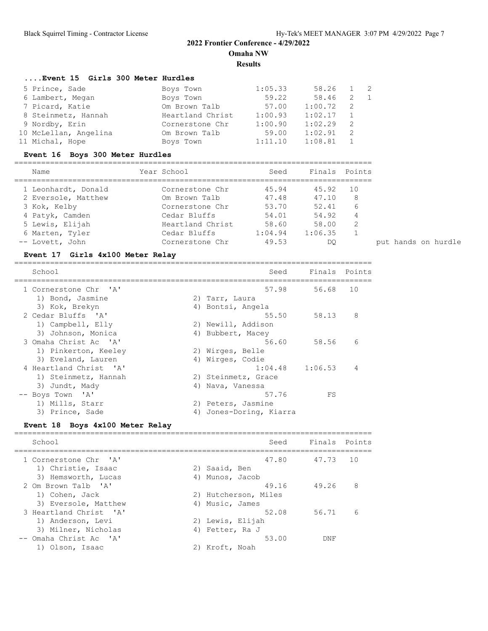**Results**

| Event 15 Girls 300 Meter Hurdles |                  |         |         |     |                |
|----------------------------------|------------------|---------|---------|-----|----------------|
| 5 Prince, Sade                   | Boys Town        | 1:05.33 | 58.26   |     | - 2            |
| 6 Lambert, Megan                 | Boys Town        | 59.22   | 58.46   | -2  | $\overline{1}$ |
| 7 Picard, Katie                  | Om Brown Talb    | 57.00   | 1:00.72 | - 2 |                |
| 8 Steinmetz, Hannah              | Heartland Christ | 1:00.93 | 1:02.17 |     |                |
| 9 Nordby, Erin                   | Cornerstone Chr  | 1:00.90 | 1:02.29 | -2  |                |
| 10 McLellan, Angelina            | Om Brown Talb    | 59.00   | 1:02.91 | -2  |                |
| 11 Michal, Hope                  | Boys Town        | 1:11.10 | 1:08.81 |     |                |
|                                  |                  |         |         |     |                |

## **Event 16 Boys 300 Meter Hurdles**

| Name                |  | Year School      | Seed    |         | Finals Points |
|---------------------|--|------------------|---------|---------|---------------|
| 1 Leonhardt, Donald |  | Cornerstone Chr  | 45.94   | 45.92   | 10            |
| 2 Eversole, Matthew |  | Om Brown Talb    | 47.48   | 47.10   | 8             |
| 3 Kok, Kelby        |  | Cornerstone Chr  | 53.70   | 52.41   |               |
| 4 Patyk, Camden     |  | Cedar Bluffs     | 54.01   | 54.92   |               |
| 5 Lewis, Elijah     |  | Heartland Christ | 58.60   | 58.00   | $\mathcal{D}$ |
| 6 Marten, Tyler     |  | Cedar Bluffs     | 1:04.94 | 1:06.35 |               |
| -- Lovett, John     |  | Cornerstone Chr  | 49.53   | DC      |               |

### **Event 17 Girls 4x100 Meter Relay**

| School                 |    | Seed                 | Finals Points |    |
|------------------------|----|----------------------|---------------|----|
| 1 Cornerstone Chr 'A'  |    | 57.98                | 56.68         | 10 |
| 1) Bond, Jasmine       |    | 2) Tarr, Laura       |               |    |
| 3) Kok, Brekyn         |    | 4) Bontsi, Angela    |               |    |
| 2 Cedar Bluffs 'A'     |    | 55.50                | 58.13         | 8  |
| 1) Campbell, Elly      |    | 2) Newill, Addison   |               |    |
| 3) Johnson, Monica     | 4) | Bubbert, Macey       |               |    |
| 3 Omaha Christ Ac 'A'  |    | 56.60                | 58.56         | 6  |
| 1) Pinkerton, Keeley   |    | 2) Wirges, Belle     |               |    |
| 3) Eveland, Lauren     |    | 4) Wirges, Codie     |               |    |
| 4 Heartland Christ 'A' |    | $1:04.48$ $1:06.53$  |               | 4  |
| 1) Steinmetz, Hannah   |    | 2) Steinmetz, Grace  |               |    |
| 3) Jundt, Mady         | 4) | Nava, Vanessa        |               |    |
| -- Boys Town 'A'       |    | 57.76                | FS            |    |
| 1) Mills, Starr        | 2) | Peters, Jasmine      |               |    |
| 3) Prince, Sade        | 4) | Jones-Doring, Kiarra |               |    |

## **Event 18 Boys 4x100 Meter Relay**

| School                                                               | Seed                                                   | Finals Points |     |
|----------------------------------------------------------------------|--------------------------------------------------------|---------------|-----|
| 1 Cornerstone Chr. 'A'<br>1) Christie, Isaac                         | 47.80<br>Saaid, Ben<br>2)                              | 47.73         | 1 O |
| 3) Hemsworth, Lucas<br>2 Om Brown Talb 'A'<br>1) Cohen, Jack         | Munos, Jacob<br>4)<br>49.16<br>Hutcherson, Miles<br>2) | 49.26         | 8   |
| 3) Eversole, Matthew<br>3 Heartland Christ. 'A'<br>1) Anderson, Levi | 4) Music, James<br>52.08<br>2) Lewis, Elijah           | 56.71         | 6   |
| 3) Milner, Nicholas<br>-- Omaha Christ Ac 'A'<br>1) Olson, Isaac     | Fetter, Ra J<br>4)<br>53.00<br>Kroft, Noah             | DNF           |     |
|                                                                      |                                                        |               |     |

put hands on hurdle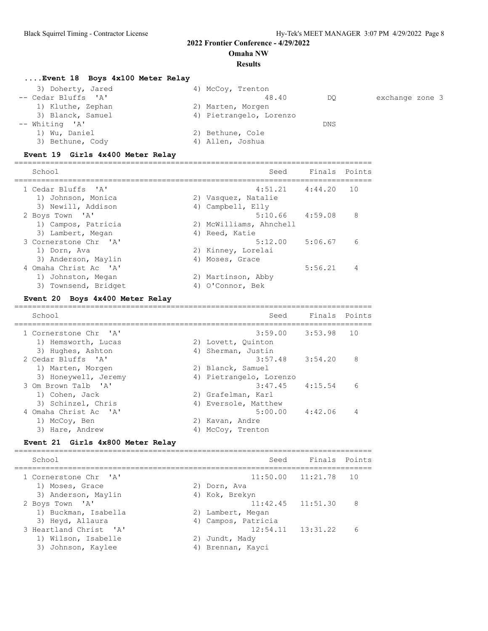#### **Omaha NW**

#### **Results**

### **....Event 18 Boys 4x100 Meter Relay**

| 3) Doherty, Jared   | 4) McCoy, Trenton       |     |                 |
|---------------------|-------------------------|-----|-----------------|
| -- Cedar Bluffs 'A' | 48.40                   | DO  | exchange zone 3 |
| 1) Kluthe, Zephan   | 2) Marten, Morgen       |     |                 |
| 3) Blanck, Samuel   | 4) Pietrangelo, Lorenzo |     |                 |
| $--$ Whiting 'A'    |                         | DNS |                 |
| 1) Wu, Daniel       | 2) Bethune, Cole        |     |                 |
| 3) Bethune, Cody    | 4) Allen, Joshua        |     |                 |

### **Event 19 Girls 4x400 Meter Relay**

| School                                                             | Seed                                       | Finals Points |    |
|--------------------------------------------------------------------|--------------------------------------------|---------------|----|
| 1 Cedar Bluffs 'A'<br>1) Johnson, Monica                           | $4:51.21$ $4:44.20$<br>2) Vasquez, Natalie |               | 10 |
| 3) Newill, Addison<br>2 Boys Town 'A'                              | 4) Campbell, Elly<br>$5:10.66$ $4:59.08$   |               | 8  |
| 1) Campos, Patricia<br>3) Lambert, Megan                           | 2) McWilliams, Ahnchell<br>4) Reed, Katie  |               |    |
| 3 Cornerstone Chr 'A'<br>1) Dorn, Ava                              | $5:12.00$ $5:06.67$<br>2) Kinney, Lorelai  |               | 6  |
| 3) Anderson, Maylin<br>4 Omaha Christ Ac 'A'<br>1) Johnston, Megan | 4) Moses, Grace<br>2) Martinson, Abby      | 5:56.21       | 4  |
| 3) Townsend, Bridget                                               | 4) O'Connor, Bek                           |               |    |

#### **Event 20 Boys 4x400 Meter Relay**

| School                                                        | Seed                                                                 | Finals Points |                |
|---------------------------------------------------------------|----------------------------------------------------------------------|---------------|----------------|
| 1 Cornerstone Chr 'A'<br>1) Hemsworth, Lucas                  | $3:59.00$ $3:53.98$<br>2) Lovett, Ouinton                            |               | 10             |
| 3) Hughes, Ashton<br>2 Cedar Bluffs 'A'<br>1) Marten, Morgen  | 4) Sherman, Justin<br>$3:57.48$ $3:54.20$<br>2) Blanck, Samuel       |               | 8              |
| 3) Honeywell, Jeremy<br>3 Om Brown Talb 'A'<br>1) Cohen, Jack | 4) Pietrangelo, Lorenzo<br>$3:47.45$ $4:15.54$<br>2) Grafelman, Karl |               | 6              |
| 3) Schinzel, Chris<br>4 Omaha Christ Ac 'A'                   | 4) Eversole, Matthew<br>$5:00.00$ $4:42.06$                          |               | $\overline{4}$ |
| 1) McCoy, Ben<br>3) Hare, Andrew                              | 2) Kavan, Andre<br>McCoy, Trenton                                    |               |                |

#### **Event 21 Girls 4x800 Meter Relay**

================================================================================ School School Seed Finals Points ================================================================================ 1 Cornerstone Chr 'A' 11:50.00 11:21.78 10<br>1) Moses, Grace 2) Dorn, Ava 2) Anderson, Maylin 4) Kok, Brekyn 1) Moses, Grace 2) Dorn, Ava 3) Anderson, Maylin (4) Kok, Brekyn 2 Boys Town 'A' 11:42.45 11:51.30 8 1) Buckman, Isabella 2) Lambert, Megan 3) Heyd, Allaura 4) Campos, Patricia 3 Heartland Christ 'A' 12:54.11 13:31.22 6 1) Wilson, Isabelle 2) Jundt, Mady 3) Johnson, Kaylee 4) Brennan, Kayci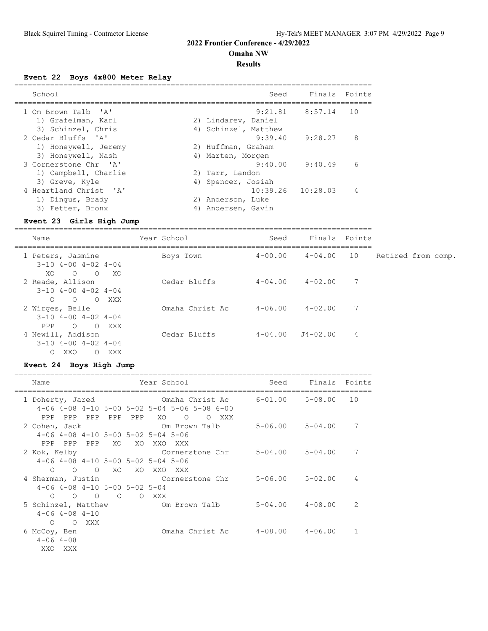**Omaha NW**

#### **Results**

**Event 22 Boys 4x800 Meter Relay**

| School                                      | Seed                                          | Finals Points       |    |
|---------------------------------------------|-----------------------------------------------|---------------------|----|
| 1 Om Brown Talb 'A'<br>1) Grafelman, Karl   | 2) Lindarev, Daniel                           | $9:21.81$ $8:57.14$ | 10 |
| 3) Schinzel, Chris<br>2 Cedar Bluffs 'A'    | 4) Schinzel, Matthew<br>9:39.40               | 9:28.27             | 8  |
| 1) Honeywell, Jeremy                        | 2) Huffman, Graham                            |                     |    |
| 3) Honeywell, Nash<br>3 Cornerstone Chr 'A' | 4) Marten, Morgen<br>9:40.00                  | 9:40.49             | 6  |
| 1) Campbell, Charlie<br>3) Greve, Kyle      | 2) Tarr, Landon<br>4) Spencer, Josiah         |                     |    |
| 4 Heartland Christ. 'A'<br>1) Dingus, Brady | $10:39.26$ $10:28.03$<br>Anderson, Luke<br>2) |                     | 4  |
| 3) Fetter, Bronx                            | Andersen, Gavin<br>4)                         |                     |    |

#### **Event 23 Girls High Jump**

================================================================================ Year School Seed Finals Points ================================================================================ 1 Peters, Jasmine Boys Town 4-00.00 4-04.00 10 Retired from comp.

| $3-10$ $4-00$ $4-02$ $4-04$ |       |                 |             |             |   |
|-----------------------------|-------|-----------------|-------------|-------------|---|
| $\circ$<br>XO<br>$\Omega$   | - XO  |                 |             |             |   |
| 2 Reade, Allison            |       | Cedar Bluffs    | $4 - 04.00$ | $4 - 02.00$ | 7 |
| $3-10$ $4-00$ $4-02$ $4-04$ |       |                 |             |             |   |
| $\circ$<br>$\Omega$         | O XXX |                 |             |             |   |
| 2 Wirges, Belle             |       | Omaha Christ Ac | $4 - 06.00$ | $4 - 02.00$ | 7 |
| $3-10$ $4-00$ $4-02$ $4-04$ |       |                 |             |             |   |
| $\circ$<br>PPP<br>$\circ$   | XXX   |                 |             |             |   |
| 4 Newill, Addison           |       | Cedar Bluffs    | $4 - 04.00$ | J4-02.00    | 4 |
| $3-10$ $4-00$ $4-02$ $4-04$ |       |                 |             |             |   |
| XXO<br>$\circ$<br>$\circ$   | XXX   |                 |             |             |   |

### **Event 24 Boys High Jump**

| Name                                                                                                                          | Year School                                                        |                         | Seed Finals Points      |    |
|-------------------------------------------------------------------------------------------------------------------------------|--------------------------------------------------------------------|-------------------------|-------------------------|----|
| 1 Doherty, Jared<br>$4-06$ $4-08$ $4-10$ $5-00$ $5-02$ $5-04$ $5-06$ $5-08$ $6-00$<br>PPP PPP PPP PPP PPP                     | Omaha Christ Ac $6-01.00$ 5-08.00<br>XO<br>$\overline{O}$<br>O XXX |                         |                         | 10 |
| 2 Cohen, Jack Com Brown Talb<br>4-06 4-08 4-10 5-00 5-02 5-04 5-06<br>PPP PPP PPP<br>XO.                                      | XO XXO XXX                                                         |                         | $5 - 06.00$ $5 - 04.00$ | 7  |
| 2 Kok, Kelby<br>4-06 4-08 4-10 5-00 5-02 5-04 5-06<br>$O$ $O$ $O$ $XO$                                                        | Cornerstone Chr<br>XO XXO XXX                                      | $5 - 04.00$ $5 - 04.00$ |                         | 7  |
| 4 Sherman, Justin Cornerstone Chr<br>$4-06$ $4-08$ $4-10$ $5-00$ $5-02$ $5-04$<br>$\begin{matrix} 0 & 0 & 0 & 0 \end{matrix}$ | O XXX                                                              | 5-06.00 5-02.00         |                         | 4  |
| 5 Schinzel, Matthew 60 Om Brown Talb<br>$4 - 06$ $4 - 08$ $4 - 10$<br>O XXX<br>$\Omega$                                       |                                                                    |                         | 5-04.00 4-08.00         | 2  |
| 6 McCoy, Ben<br>$4 - 06$ $4 - 08$<br>XXO XXX                                                                                  | Omaha Christ Ac $4-08.00$ $4-06.00$                                |                         |                         | 1  |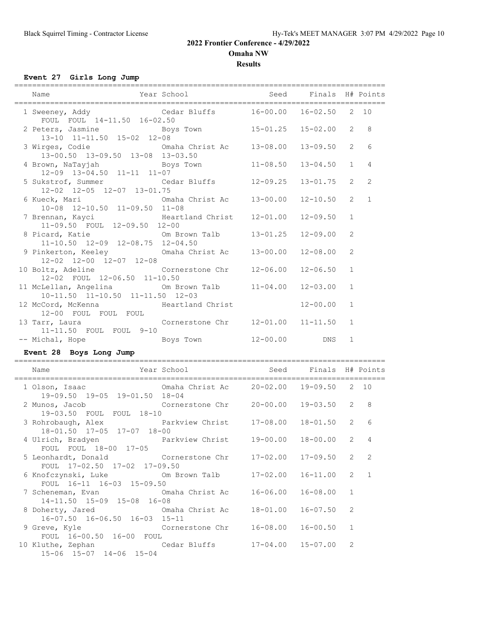**Omaha NW**

**Results**

**Event 27 Girls Long Jump**

| Name                                                                                                               | Year School                                | Seed         | Finals H# Points |                       |                |
|--------------------------------------------------------------------------------------------------------------------|--------------------------------------------|--------------|------------------|-----------------------|----------------|
|                                                                                                                    |                                            |              |                  |                       |                |
| 1 Sweeney, Addy Cedar Bluffs 16-00.00                                                                              |                                            |              | $16 - 02.50$     | $\mathbf{2}$          | 10             |
| FOUL FOUL 14-11.50 16-02.50<br>2 Peters, Jasmine<br>13-10 11-11.50 15-02 12-08                                     | Boys Town 15-01.25 15-02.00                |              |                  | $\overline{2}$        | 8              |
| 3 Wirges, Codie<br>13-00.50 13-09.50 13-08 13-03.50                                                                | Omaha Christ Ac                            | $13 - 08.00$ | $13 - 09.50$     | $\overline{2}$        | 6              |
| 4 Brown, NaTayjah<br>12-09 13-04.50 11-11 11-07                                                                    | Boys Town                                  | $11 - 08.50$ | $13 - 04.50$     | $\mathbf{1}$          | $\overline{4}$ |
| 5 Sukstrof, Summer Cedar Bluffs<br>12-02 12-05 12-07 13-01.75                                                      |                                            | $12 - 09.25$ | $13 - 01.75$     | $\overline{2}$        | 2              |
| 6 Kueck, Mari                 Omaha Christ Ac<br>10-08 12-10.50 11-09.50 11-08                                     |                                            | $13 - 00.00$ | $12 - 10.50$     | $\overline{2}$        | $\mathbf{1}$   |
| 7 Brennan, Kayci                         Heartland Christ                     11-09.50     FOUL   12-09.50   12-00 |                                            | $12 - 01.00$ | $12 - 09.50$     | $\mathbf{1}$          |                |
| 8 Picard, Katie<br>11-10.50 12-09 12-08.75 12-04.50                                                                | Om Brown Talb                              | $13 - 01.25$ | $12 - 09.00$     | $\overline{c}$        |                |
| 9 Pinkerton, Keeley<br>12-02 12-00 12-07 12-08                                                                     | Omaha Christ Ac                            | $13 - 00.00$ | $12 - 08.00$     | $\overline{c}$        |                |
| 10 Boltz, Adeline<br>12-02 FOUL 12-06.50 11-10.50                                                                  | Cornerstone Chr                            | $12 - 06.00$ | $12 - 06.50$     | $\mathbf{1}$          |                |
| 11 McLellan, Angelina Cm Brown Talb<br>10-11.50 11-10.50 11-11.50 12-03                                            |                                            | $11 - 04.00$ | $12 - 03.00$     | $\mathbf{1}$          |                |
| 12 McCord, McKenna Meartland Christ<br>12-00 FOUL FOUL FOUL                                                        |                                            |              | $12 - 00.00$     | $\mathbf{1}$          |                |
| 13 Tarr, Laura Cornerstone Chr<br>11-11.50 FOUL FOUL 9-10                                                          |                                            | $12 - 01.00$ | $11 - 11.50$     | $\mathbf{1}$          |                |
| -- Michal, Hope Boys Town                                                                                          |                                            | $12 - 00.00$ | DNS              | $\mathbf{1}$          |                |
| Event 28 Boys Long Jump                                                                                            |                                            |              |                  |                       |                |
| Name                                                                                                               | Year School Contract Seed Finals H# Points |              |                  |                       |                |
| 1 Olson, Isaac 6 0maha Christ Ac 20-02.00 19-09.50 2 10<br>19-09.50 19-05 19-01.50 18-04                           |                                            |              |                  |                       |                |
| 2 Munos, Jacob<br>19-03.50 FOUL FOUL 18-10                                                                         | Cornerstone Chr 20-00.00                   |              | $19 - 03.50$ 2   |                       | 8              |
| 3 Rohrobaugh, Alex<br>18-01.50 17-05 17-07 18-00                                                                   | Parkview Christ 17-08.00                   |              | $18 - 01.50$ 2   |                       | 6              |
| 4 Ulrich, Bradyen<br>FOUL FOUL 18-00 17-05                                                                         | Parkview Christ 19-00.00 18-00.00 2 4      |              |                  |                       |                |
| 5 Leonhardt, Donald<br>FOUL 17-02.50 17-02 17-09.50                                                                | Cornerstone Chr 17-02.00                   |              | $17 - 09.50$     | $\mathbf{2}^{\prime}$ | 2              |
| 6 Knofczynski, Luke<br>FOUL 16-11 16-03 15-09.50                                                                   | Om Brown Talb                              | $17 - 02.00$ | $16 - 11.00$     | $\overline{2}$        | $\mathbf{1}$   |
| 7 Scheneman, Evan Comaha Christ Ac<br>14-11.50 15-09 15-08 16-08                                                   |                                            | $16 - 06.00$ | $16 - 08.00$     | $\mathbf 1$           |                |
| 8 Doherty, Jared Chana Christ Ac<br>16-07.50 16-06.50 16-03 15-11                                                  |                                            | $18 - 01.00$ | $16 - 07.50$     | 2                     |                |
| 9 Greve, Kyle<br>FOUL 16-00.50 16-00 FOUL                                                                          | Cornerstone Chr                            | $16 - 08.00$ | $16 - 00.50$     | 1                     |                |
| 10 Kluthe, Zephan<br>15-06 15-07 14-06 15-04                                                                       | Cedar Bluffs                               | $17 - 04.00$ | $15 - 07.00$     | 2                     |                |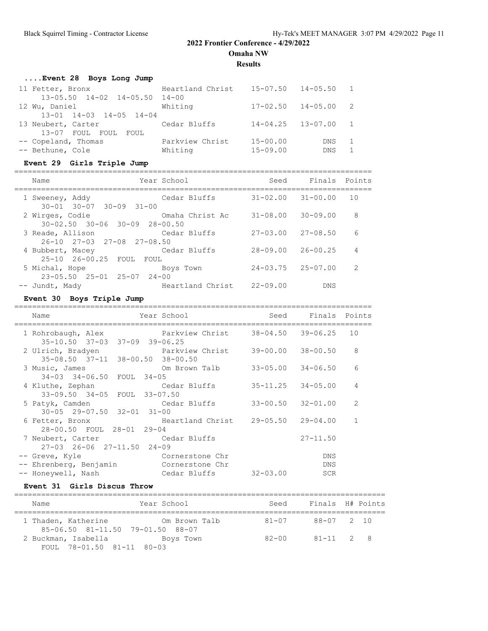**Omaha NW**

**Results**

| Event 28 Boys Long Jump         |                  |              |                             |                |
|---------------------------------|------------------|--------------|-----------------------------|----------------|
| 11 Fetter, Bronx                | Heartland Christ |              | 15-07.50 14-05.50 1         |                |
| 13-05.50 14-02 14-05.50 14-00   |                  |              |                             |                |
| 12 Wu, Daniel                   | Whiting          |              | $17 - 02.50$ $14 - 05.00$ 2 |                |
| $13-01$ $14-03$ $14-05$ $14-04$ |                  |              |                             |                |
| 13 Neubert, Carter              | Cedar Bluffs     |              | $14 - 04.25$ $13 - 07.00$ 1 |                |
| 13-07 FOUL FOUL FOUL            |                  |              |                             |                |
| -- Copeland, Thomas             | Parkview Christ  | $15 - 00.00$ | DNS.                        | $\overline{1}$ |
| -- Bethune, Cole                | Whiting          | $15 - 09.00$ | <b>DNS</b>                  |                |

## **Event 29 Girls Triple Jump**

| Name                                                             | Year School      | Seed                      | Finals Points |    |
|------------------------------------------------------------------|------------------|---------------------------|---------------|----|
| 1 Sweeney, Addy<br>$30 - 01$ $30 - 07$ $30 - 09$ $31 - 00$       | Cedar Bluffs     | $31 - 02.00$              | $31 - 00.00$  | 10 |
| 2 Wirges, Codie<br>$30 - 02.50$ $30 - 06$ $30 - 09$ $28 - 00.50$ | Omaha Christ Ac  | $31 - 08.00$              | $30 - 09.00$  | 8  |
| 3 Reade, Allison<br>$26-10$ $27-03$ $27-08$ $27-08$ , 50         | Cedar Bluffs     | $27 - 03.00$              | $27 - 08.50$  | 6  |
| 4 Bubbert, Macey<br>25-10 26-00.25 FOUL FOUL                     | Cedar Bluffs     | $28 - 09.00$              | $26 - 00.25$  | 4  |
| 5 Michal, Hope<br>$23 - 05.50$ $25 - 01$ $25 - 07$ $24 - 00$     | Boys Town        | $24 - 03.75$ $25 - 07.00$ |               | 2  |
| -- Jundt, Mady                                                   | Heartland Christ | $22 - 09.00$              | <b>DNS</b>    |    |

### **Event 30 Boys Triple Jump**

| Name                                                          | Year School               | Seed                      | Finals Points             |                |
|---------------------------------------------------------------|---------------------------|---------------------------|---------------------------|----------------|
| 1 Rohrobaugh, Alex<br>35-10.50 37-03 37-09 39-06.25           | Parkview Christ           | $38 - 04.50$ $39 - 06.25$ |                           | 10             |
| 2 Ulrich, Bradyen<br>35-08.50 37-11 38-00.50 38-00.50         | Parkview Christ           | $39 - 00.00$ $38 - 00.50$ |                           | 8              |
| 3 Music, James<br>34-03 34-06.50 FOUL 34-05                   | Om Brown Talb             |                           | $33 - 05.00$ $34 - 06.50$ | 6              |
| 4 Kluthe, Zephan<br>33-09.50 34-05 FOUL 33-07.50              | Cedar Bluffs              |                           | $35 - 11.25$ $34 - 05.00$ | $\overline{4}$ |
| 5 Patyk, Camden<br>$30 - 05$ $29 - 07.50$ $32 - 01$ $31 - 00$ | Cedar Bluffs              |                           | $33 - 00.50$ $32 - 01.00$ | $\mathcal{L}$  |
| 6 Fetter, Bronx<br>28-00.50 FOUL 28-01 29-04                  | Heartland Christ 29-05.50 |                           | $29 - 04.00$              | $\mathbf{1}$   |
| 7 Neubert, Carter<br>27-03 26-06 27-11.50 24-09               | Cedar Bluffs              |                           | $27 - 11.50$              |                |
| -- Greve, Kyle                                                | Cornerstone Chr           |                           | <b>DNS</b>                |                |
| -- Ehrenberg, Benjamin                                        | Cornerstone Chr           |                           | <b>DNS</b>                |                |
| -- Honeywell, Nash                                            | Cedar Bluffs              | $32 - 03.00$              | <b>SCR</b>                |                |

## **Event 31 Girls Discus Throw**

| Name | Year School                                                              | Seed      | Finals H# Points |  |
|------|--------------------------------------------------------------------------|-----------|------------------|--|
|      | 1 Thaden, Katherine<br>Om Brown Talb<br>85-06.50 81-11.50 79-01.50 88-07 | $81 - 07$ | 88-07 2 10       |  |
|      | 2 Buckman, Isabella<br>Boys Town<br>FOUL 78-01.50 81-11 80-03            | $82 - 00$ | $81 - 11$ 2 8    |  |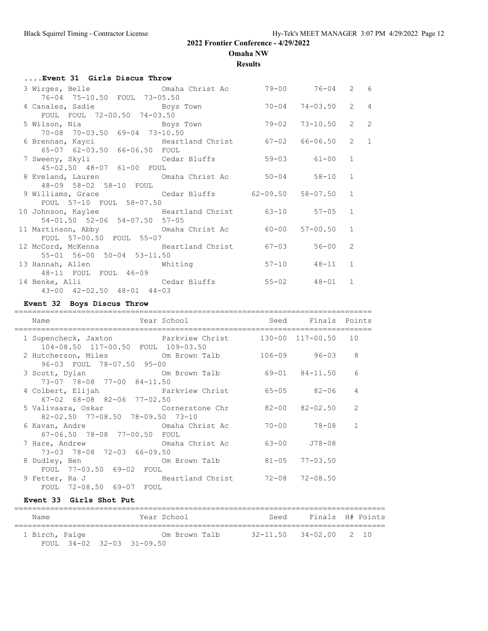**Omaha NW**

**Results**

| Event 31 Girls Discus Throw                                                                          |           |                     |                |                |
|------------------------------------------------------------------------------------------------------|-----------|---------------------|----------------|----------------|
| 3 Wirges, Belle 6 Comaha Christ Ac 39-00 76-04 2 6                                                   |           |                     |                |                |
| 76-04 75-10.50 FOUL 73-05.50                                                                         |           | 74-03.50            | $2 \quad 4$    |                |
| 4 Canales, Sadie and Boys Town<br>FOUL FOUL 72-00.50 74-03.50                                        | $70 - 04$ |                     |                |                |
|                                                                                                      |           | $73 - 10.50$        | $\overline{2}$ | $\overline{2}$ |
| 70-08 70-03.50 69-04 73-10.50                                                                        |           |                     |                |                |
|                                                                                                      |           |                     | $2^{\circ}$    | $\mathbf{1}$   |
| 6 Brennan, Kayci             Heartland Christ       67-02   66-06.50<br>65-07 62-03.50 66-06.50 FOUL |           |                     |                |                |
| 7 Sweeny, Skyli Cedar Bluffs                                                                         |           | 59-03 61-00         | 1              |                |
| 45-02.50 48-07 61-00 FOUL                                                                            |           |                     |                |                |
| 8 Eveland, Lauren             Omaha Christ Ac         50-04       58-10                              |           |                     | $\mathbf{1}$   |                |
| 48-09 58-02 58-10 FOUL                                                                               |           |                     |                |                |
| 9 Williams, Grace 62-09.50 58-07.50                                                                  |           |                     | $\mathbf{1}$   |                |
| FOUL 57-10 FOUL 58-07.50                                                                             |           |                     |                |                |
| 10 Johnson, Kaylee 63-10 57-05                                                                       |           |                     | $\mathbf{1}$   |                |
| 54-01.50 52-06 54-07.50 57-05                                                                        |           |                     |                |                |
| 11 Martinson, Abby <b>Comanda</b> Christ Ac 60-00                                                    |           | $57 - 00.50$        | 1              |                |
| FOUL 57-00.50 FOUL 55-07                                                                             |           |                     |                |                |
| 12 McCord, McKenna and Heartland Christ 67-03 56-00                                                  |           |                     | $\mathcal{L}$  |                |
| 55-01 56-00 50-04 53-11.50                                                                           |           |                     |                |                |
| 13 Hannah, Allen Mhiting                                                                             |           | 57-10 48-11 1       |                |                |
| 48-11 FOUL FOUL 46-09                                                                                |           |                     |                |                |
| 14 Benke, Alli Cedar Bluffs                                                                          |           | $55 - 02$ $48 - 01$ | $\mathbf{1}$   |                |
| 43-00 42-02.50 48-01 44-03                                                                           |           |                     |                |                |

## **Event 32 Boys Discus Throw**

| Name                                                                                             | Year School and Seed Finals Points |           |                        |                |
|--------------------------------------------------------------------------------------------------|------------------------------------|-----------|------------------------|----------------|
| 1 Supencheck, Jaxton <b>Parkview Christ</b><br>104-08.50 117-00.50 FOUL 109-03.50                |                                    |           | 130-00 117-00.50 10    |                |
| 2 Hutcherson, Miles 6 Om Brown Talb 106-09<br>96-03 FOUL 78-07.50 95-00                          |                                    |           | 96-03                  | 8              |
| 3 Scott, Dylan Cm Brown Talb<br>73-07 78-08 77-00 84-11.50                                       |                                    |           | 69-01 84-11.50         | 6              |
| 4 Colbert, Elijah                   Parkview Christ<br>$67-02$ $68-08$ $82-06$ $77-02.50$        |                                    |           | 65-05 82-06            | $\overline{4}$ |
| 5 Valivaara, Oskar           Cornerstone Chr<br>$82 - 02.50$ $77 - 08.50$ $78 - 09.50$ $73 - 10$ |                                    |           | 82-00 82-02.50         | $\mathcal{L}$  |
| 6 Kavan, Andre                 Omaha Christ Ac<br>67-06.50 78-08 77-00.50 FOUL                   |                                    | $70 - 00$ | 78-08                  | $\mathbf{1}$   |
| 7 Hare, Andrew Cmaha Christ Ac<br>73-03 78-08 72-03 66-09.50                                     |                                    | 63-00     | J78-08                 |                |
| Om Brown Talb<br>8 Dudley, Ben<br>FOUL 77-03.50 69-02 FOUL                                       |                                    |           | $81 - 05$ $77 - 03.50$ |                |
| 9 Fetter, Ra J<br>FOUL 72-08.50 69-07 FOUL                                                       | Heartland Christ 72-08 72-08.50    |           |                        |                |

## **Event 33 Girls Shot Put**

| Name           |  | Year School                     | Seed | Finals H# Points       |  |
|----------------|--|---------------------------------|------|------------------------|--|
| 1 Birch, Paige |  | Om Brown Talb                   |      | 32-11.50 34-02.00 2 10 |  |
|                |  | FOUL $34-02$ $32-03$ $31-09.50$ |      |                        |  |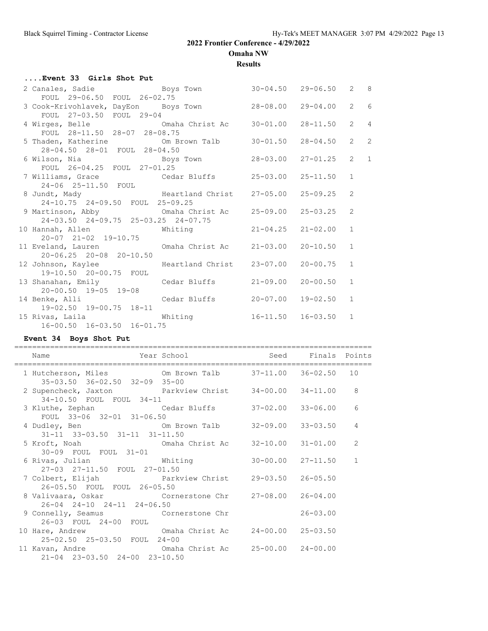**Omaha NW**

**Results**

### **....Event 33 Girls Shot Put**

| 2 Canales, Sadie and Boys Town                                 |              | $30 - 04.50$ 29-06.50 2 8 |                |                |
|----------------------------------------------------------------|--------------|---------------------------|----------------|----------------|
| FOUL 29-06.50 FOUL 26-02.75                                    |              |                           |                |                |
| 3 Cook-Krivohlavek, DayEon Boys Town 28-08.00 29-04.00         |              |                           | 2 6            |                |
| FOUL 27-03.50 FOUL 29-04                                       |              |                           |                |                |
| 4 Wirges, Belle 6 0maha Christ Ac 30-01.00 28-11.50            |              |                           | $2 \quad 4$    |                |
| FOUL 28-11.50 28-07 28-08.75                                   |              |                           |                |                |
| 5 Thaden, Katherine 6 0m Brown Talb 30-01.50 28-04.50          |              |                           | $\overline{2}$ | $\overline{c}$ |
| 28-04.50 28-01 FOUL 28-04.50                                   |              |                           |                |                |
|                                                                |              |                           | $2 \quad 1$    |                |
| FOUL 26-04.25 FOUL 27-01.25                                    |              |                           |                |                |
|                                                                |              |                           | $\mathbf{1}$   |                |
| 24-06 25-11.50 FOUL                                            |              |                           |                |                |
|                                                                |              |                           | 2              |                |
| 8 Jundt, Mady<br>24-10.75 24-09.50 FOUL 25-09.25<br>25-09.25   |              |                           |                |                |
|                                                                |              |                           |                |                |
| 24-03.50 24-09.75 25-03.25 24-07.75                            |              |                           |                |                |
| 10 Hannah, Allen Mhiting 21-04.25 21-02.00                     |              |                           | 1              |                |
| 20-07 21-02 19-10.75                                           |              |                           |                |                |
| 11 Eveland, Lauren (1988) Omaha Christ Ac (21-03.00 20-10.50 1 |              |                           |                |                |
| $20 - 06.25$ 20-08 20-10.50                                    |              |                           |                |                |
|                                                                |              |                           |                |                |
| 12 Johnson, Kaylee Beartland Christ 23-07.00                   |              | $20 - 00.75$ 1            |                |                |
| 19-10.50 20-00.75 FOUL                                         |              |                           |                |                |
| 13 Shanahan, Emily Cedar Bluffs 21-09.00 20-00.50              |              |                           | 1              |                |
| 20-00.50 19-05 19-08                                           |              |                           |                |                |
| 14 Benke, Alli Cedar Bluffs                                    | $20 - 07.00$ | $19 - 02.50$ 1            |                |                |
| 19-02.50 19-00.75 18-11                                        |              |                           |                |                |
| 15 Rivas, Laila Mhiting                                        |              | $16-11.50$ $16-03.50$ 1   |                |                |
| 16-00.50 16-03.50 16-01.75                                     |              |                           |                |                |

## **Event 34 Boys Shot Put**

| Year School and Seed Finals Points<br>Name                                                       |  |              |                |
|--------------------------------------------------------------------------------------------------|--|--------------|----------------|
| 1 Hutcherson, Miles 6 0m Brown Talb 37-11.00 36-02.50 10<br>35-03.50 36-02.50 32-09 35-00        |  |              |                |
| 2 Supencheck, Jaxton Farkview Christ 34-00.00 34-11.00 8<br>34-10.50 FOUL FOUL 34-11             |  |              |                |
| 3 Kluthe, Zephan Cedar Bluffs 37-02.00 33-06.00<br>FOUL 33-06 32-01 31-06.50                     |  |              | 6              |
| 4 Dudley, Ben 6 1 20 0 0 0 0 20 20 20 32-09.00 33-03.50<br>31-11 33-03.50 31-11 31-11.50         |  |              | 4              |
| 5 Kroft, Noah                   Omaha Christ Ac     32-10.00   31-01.00<br>30-09 FOUL FOUL 31-01 |  |              | $\overline{2}$ |
| 6 Rivas, Julian 6 Mhiting 30-00.00 27-11.50<br>27-03 27-11.50 FOUL 27-01.50                      |  |              | $\mathbf{1}$   |
| 7 Colbert, Elijah Parkview Christ 29-03.50 26-05.50<br>26-05.50 FOUL FOUL 26-05.50               |  |              |                |
| 8 Valivaara, Oskar Cornerstone Chr 27-08.00 26-04.00<br>26-04 24-10 24-11 24-06.50               |  |              |                |
| 9 Connelly, Seamus Cornerstone Chr<br>26-03 FOUL 24-00 FOUL                                      |  | $26 - 03.00$ |                |
| 10 Hare, Andrew Cmaha Christ Ac $24-00.00$ 25-03.50<br>25-02.50 25-03.50 FOUL 24-00              |  |              |                |
| 11 Kavan, Andre 6 1 Comaha Christ Action 25-00.00 24-00.00<br>21-04 23-03.50 24-00 23-10.50      |  |              |                |